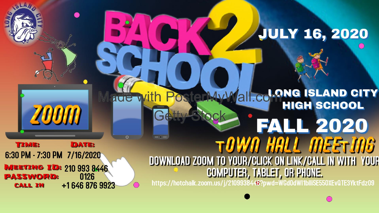## **JULY 16, 2020**

**DATE: TIME:** 6:30 PM - 7:30 PM 7/16/2020 **MEETING ID:** 210 993 8446 0126 **PASSWORD:** +1 646 876 9923 **CALL IN** 

**ZOOM** 

**LONG ISLAND CITY all.co FICIETY HIGH SCHOOL FALL 2020** TOWN HALL MEETING **DOWNLOAD ZOOM TO YOUR/CLICK ON LINK/CALL IN WITH YOUR COMPUTER, TABLET, OR PHONE.** 

https://hotchalk.zoom.us/j/2109938446?pwd=WGd0dWI1blliSE550XEvQTE3YktFdz09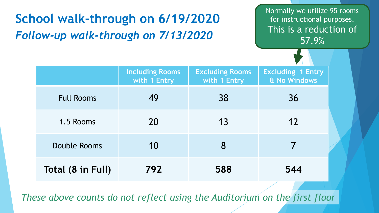### **School walk-through on 6/19/2020** *Follow-up walk-through on 7/13/2020*

Normally we utilize 95 rooms for instructional purposes. This is a reduction of 57.9%

|                   | <b>Including Rooms</b><br>with 1 Entry | <b>Excluding Rooms</b><br>with 1 Entry | <b>Excluding 1 Entry</b><br>& No Windows |
|-------------------|----------------------------------------|----------------------------------------|------------------------------------------|
| <b>Full Rooms</b> | 49                                     | 38                                     | 36                                       |
| 1.5 Rooms         | 20                                     | 13                                     | 12                                       |
| Double Rooms      | 10                                     | 8                                      |                                          |
| Total (8 in Full) | 792                                    | 588                                    | 544                                      |

*These above counts do not reflect using the Auditorium on the first floor*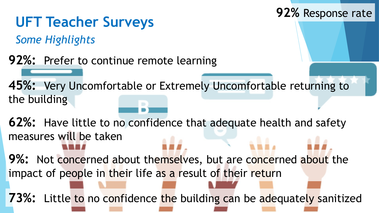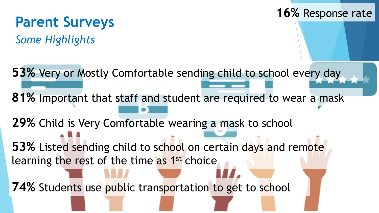# **Parent Surveys 53%** Very or Mostly Comfortable sending child to school every day *Some Highlights* **16%** Response rate **81%** Important that staff and student are required to wear a mask **29%** Child is Very Comfortable wearing a mask to school **53%** Listed sending child to school on certain days and remote learning the rest of the time as 1<sup>st</sup> choice **74%** Students use public transportation to get to school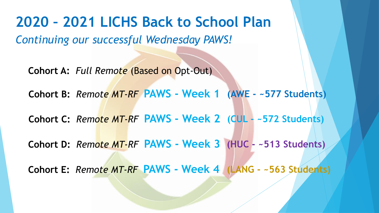**2020 – 2021 LICHS Back to School Plan Cohort A:** *Full Remote* (Based on Opt-Out) **Cohort B:** *Remote MT-RF* **PAWS - Week 1 (AWE - ~577 Students) Cohort C:** *Remote MT-RF* **PAWS - Week 2 (CUL - ~572 Students) Cohort D:** *Remote MT-RF* **PAWS - Week 3 (HUC - ~513 Students) Cohort E:** *Remote MT-RF* **PAWS - Week 4 (LANG - ~563 Students)** *Continuing our successful Wednesday PAWS!*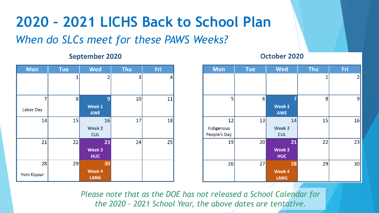## **2020 – 2021 LICHS Back to School Plan**

### *When do SLCs meet for these PAWS Weeks?*

#### **Wed** Thu **Mon** Fri **Tue** R 8 10 11  $\Omega$ Week 1 Labor Day **AWE** 14 15 17 18 **16** Week 2 **CUL** 21 22 23 24 25 **Week 3 HUC** 28 29 30 Week 4 Yom Kippur **LANG**

### **September 2020**

### **October 2020**



*Please note that as the DOE has not released a School Calendar for the 2020 – 2021 School Year, the above dates are tentative.*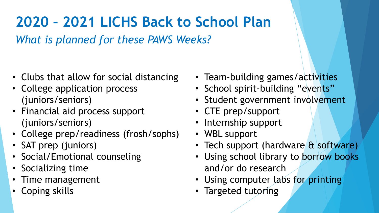## **2020 – 2021 LICHS Back to School Plan**

*What is planned for these PAWS Weeks?*

- Clubs that allow for social distancing
- College application process (juniors/seniors)
- Financial aid process support (juniors/seniors)
- College prep/readiness (frosh/sophs)
- SAT prep (juniors)
- Social/Emotional counseling
- Socializing time
- Time management
- Coping skills
- Team-building games/activities
- School spirit-building "events"
- Student government involvement
- CTE prep/support
- Internship support
- WBL support
- Tech support (hardware & software)
- Using school library to borrow books and/or do research
- Using computer labs for printing
- Targeted tutoring